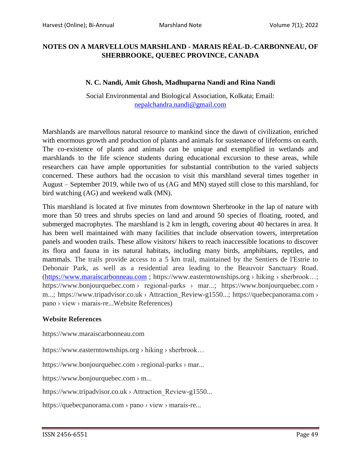## **NOTES ON A MARVELLOUS MARSHLAND - MARAIS RÉAL-D.-CARBONNEAU, OF SHERBROOKE, QUEBEC PROVINCE, CANADA**

## **N. C. Nandi, Amit Ghosh, Madhuparna Nandi and Rina Nandi**

Social Environmental and Biological Association, Kolkata; Email: [nepalchandra.nandi@gmail.com](mailto:nepalchandra.nandi@gmail.com)

Marshlands are marvellous natural resource to mankind since the dawn of civilization, enriched with enormous growth and production of plants and animals for sustenance of lifeforms on earth. The co-existence of plants and animals can be unique and exemplified in wetlands and marshlands to the life science students during educational excursion to these areas, while researchers can have ample opportunities for substantial contribution to the varied subjects concerned. These authors had the occasion to visit this marshland several times together in August – September 2019, while two of us (AG and MN) stayed still close to this marshland, for bird watching (AG) and weekend walk (MN).

This marshland is located at five minutes from downtown Sherbrooke in the lap of nature with more than 50 trees and shrubs species on land and around 50 species of floating, rooted, and submerged macrophytes. The marshland is 2 km in length, covering about 40 hectares in area. It has been well maintained with many facilities that include observation towers, interpretation panels and wooden trails. These allow visitors/ hikers to reach inaccessible locations to discover its flora and fauna in its natural habitats, including many birds, amphibians, reptiles, and mammals. The trails provide access to a 5 km trail, maintained by the Sentiers de l'Estrie to Debonair Park, as well as a residential area leading to the Beauvoir Sanctuary Road. [\(https://www.maraiscarbonneau.com](https://www.maraiscarbonneau.com/) ; https://www.easterntownships.org › hiking › sherbrook…; https://www.bonjourquebec.com › regional-parks › mar...; https://www.bonjourquebec.com › m...; https://www.tripadvisor.co.uk > Attraction\_Review-g1550...; https://quebecpanorama.com > pano › view › marais-re...Website References)

## **Website References**

https://www.maraiscarbonneau.com

https://www.easterntownships.org › hiking › sherbrook…

https://www.bonjourquebec.com › regional-parks › mar...

https://www.bonjourquebec.com › m...

https://www.tripadvisor.co.uk › Attraction Review-g1550...

https://quebecpanorama.com › pano › view › marais-re...